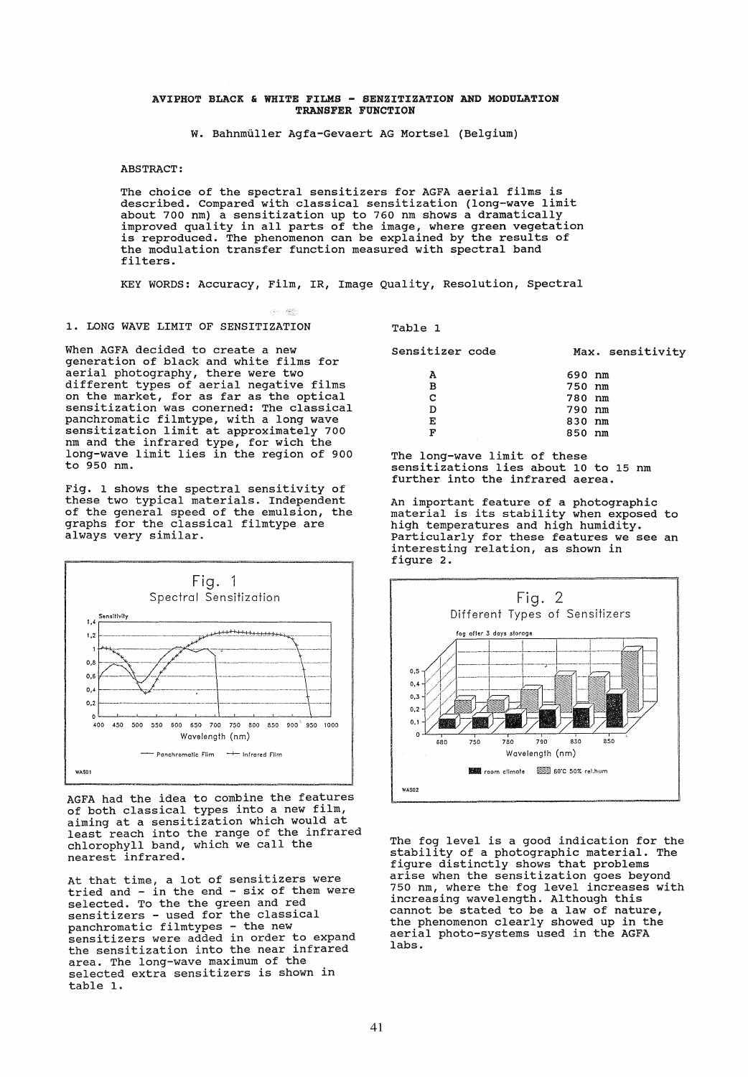#### AVIPHOT BLACK & WHITE FILMS - SENZITIZATION AND MODULATION TRANSFER FUNCTION

W. Bahnmüller Agfa-Gevaert AG Mortsel (Belgium)

**ABSTRACT:** 

The choice of the spectral sensitizers for AGFA aerial films is described. Compared with classical sensitization (long-wave limit about 700 nm) a sensitization up to 760 nm shows a dramatically improved quality in all parts of the image, where green vegetation<br>is reproduced. The phenomenon can be explained by the results of the modulation transfer function measured with spectral band filters.

KEY WORDS: Accuracy, Film, IR, Image Quality, Resolution, Spectral

 $\mathcal{A}_{\text{int}} \rightarrow \mathcal{B}_{\text{F}}^{\text{int}}$ 

# 1. LONG WAVE LIMIT OF SENSITIZATION

When AGFA decided to create a new generation of black and white films for aerial photography, there were two different types of aerial negative films on the market, for as far as the optical<br>sensitization was conerned: The classical panchromatic filmtype, with a long wave sensitization limit at approximately 700 nm and the infrared type, for wich the<br>long-wave limit lies in the region of 900 to 950 nm.

Fig. 1 shows the spectral sensitivity of these two typical materials. Independent of the general speed of the emulsion, the graphs for the classical filmtype are always very similar.



AGFA had the idea to combine the features of both classical types into a new film, aiming at a sensitization which would at least reach into the range of the infrared<br>chlorophyll band, which we call the nearest infrared.

At that time, a lot of sensitizers were tried and - in the end - six of them were selected. To the the green and red sensitizers - used for the classical panchromatic filmtypes - the new<br>sensitizers were added in order to expand the sensitization into the near infrared area. The long-wave maximum of the selected extra sensitizers is shown in table 1.

Table 1

| Sensitizer code | Max. sensitivity |
|-----------------|------------------|
| А               | 690 nm           |
| в               | 750 nm           |
| с               | 780 nm           |
| D               | 790 nm           |
| Е               | 830 nm           |
| F               | 850 nm           |

The long-wave limit of these sensitizations lies about 10 to 15 nm further into the infrared aerea.

An important feature of a photographic material is its stability when exposed to high temperatures and high humidity.<br>Particularly for these features we see an interesting relation, as shown in figure 2.



The fog level is a good indication for the stability of a photographic material. The figure distinctly shows that problems arise when the sensitization goes beyond<br>750 nm, where the fog level increases with increasing wavelength. Although this cannot be stated to be a law of nature, the phenomenon clearly showed up in the aerial photo-systems used in the AGFA labs.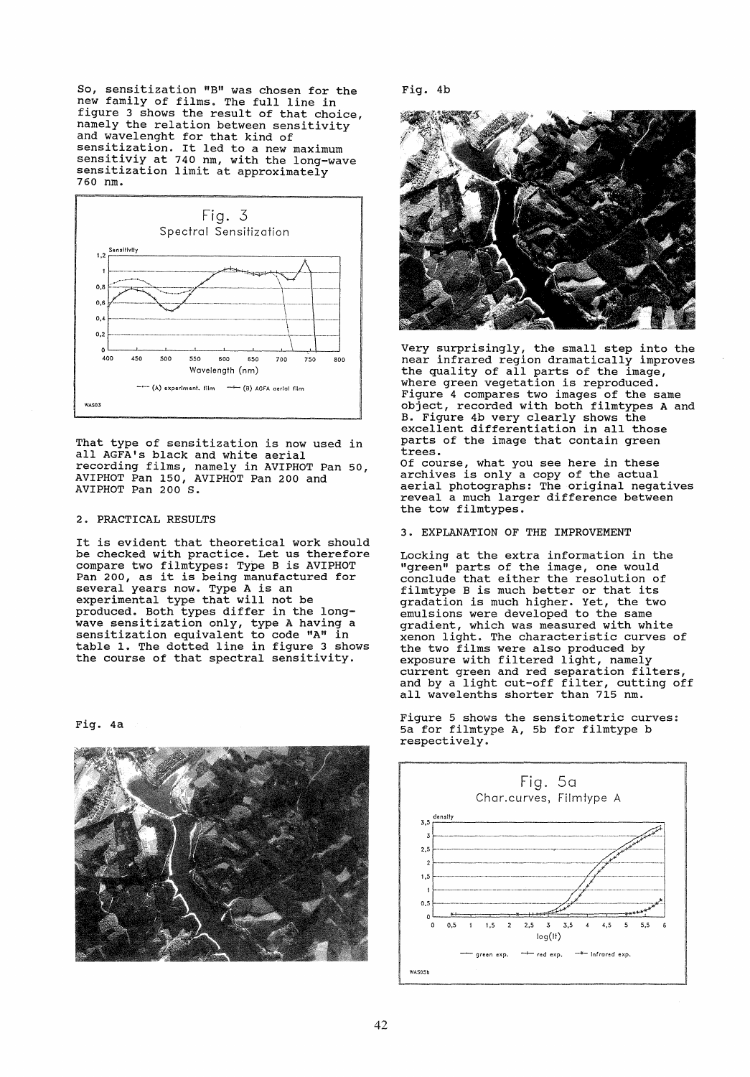So, sensitization "B" was chosen for the new family of films. The full line in figure 3 shows the result of that choice. namely the relation between sensitivity and wavelenght for that kind of sensitization. It led to a new maximum<br>sensitiviy at 740 nm, with the long-wave<br>sensitization limit at approximately 760 nm.



That type of sensitization is now used in all AGFA's black and white aerial recording films, namely in AVIPHOT Pan 50,<br>AVIPHOT Pan 150, AVIPHOT Pan 200 and<br>AVIPHOT Pan 200 S.

## 2. PRACTICAL RESULTS

It is evident that theoretical work should be checked with practice. Let us therefore<br>compare two filmtypes: Type B is AVIPHOT Pan 200, as it is being manufactured for<br>several years now. Type A is an<br>experimental type that will not be produced. Both types differ in the longwave sensitization only, type A having a<br>sensitization equivalent to code "A" in table 1. The dotted line in figure 3 shows the course of that spectral sensitivity.

Fig. 4a



Fig. 4b



Very surprisingly, the small step into the<br>near infrared region dramatically improves the quality of all parts of the image, where green vegetation is reproduced.<br>Figure 4 compares two images of the same object, recorded with both filmtypes A and B. Figure 4b very clearly shows the<br>excellent differentiation in all those parts of the image that contain green trees.

Of course, what you see here in these archives is only a copy of the actual<br>aerial photographs: The original negatives reveal a much larger difference between the tow filmtypes.

## 3. EXPLANATION OF THE IMPROVEMENT

Locking at the extra information in the "green" parts of the image, one would<br>conclude that either the resolution of filmtype B is much better or that its gradation is much higher. Yet, the two<br>emulsions were developed to the same gradient, which was measured with white xenon light. The characteristic curves of the two films were also produced by exposure with filtered light, namely<br>current green and red separation filters, and by a light cut-off filter, cutting off all wavelenths shorter than 715 nm.

Figure 5 shows the sensitometric curves:<br>5a for filmtype A, 5b for filmtype b respectively.